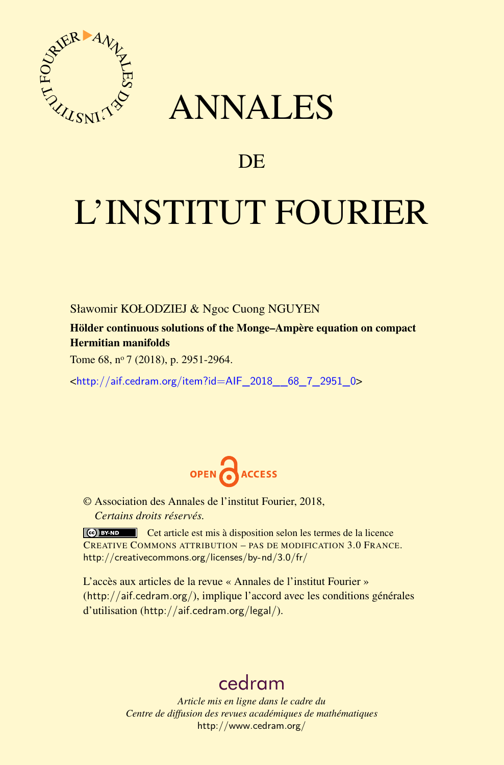

## ANNALES

### **DE**

# L'INSTITUT FOURIER

Sławomir KOŁODZIEJ & Ngoc Cuong NGUYEN

Hölder continuous solutions of the Monge–Ampère equation on compact Hermitian manifolds

Tome 68, nº 7 (2018), p. 2951-2964.

<[http://aif.cedram.org/item?id=AIF\\_2018\\_\\_68\\_7\\_2951\\_0](http://aif.cedram.org/item?id=AIF_2018__68_7_2951_0)>



© Association des Annales de l'institut Fourier, 2018, *Certains droits réservés.*

Cet article est mis à disposition selon les termes de la licence CREATIVE COMMONS ATTRIBUTION – PAS DE MODIFICATION 3.0 FRANCE. <http://creativecommons.org/licenses/by-nd/3.0/fr/>

L'accès aux articles de la revue « Annales de l'institut Fourier » (<http://aif.cedram.org/>), implique l'accord avec les conditions générales d'utilisation (<http://aif.cedram.org/legal/>).

## [cedram](http://www.cedram.org/)

*Article mis en ligne dans le cadre du Centre de diffusion des revues académiques de mathématiques* <http://www.cedram.org/>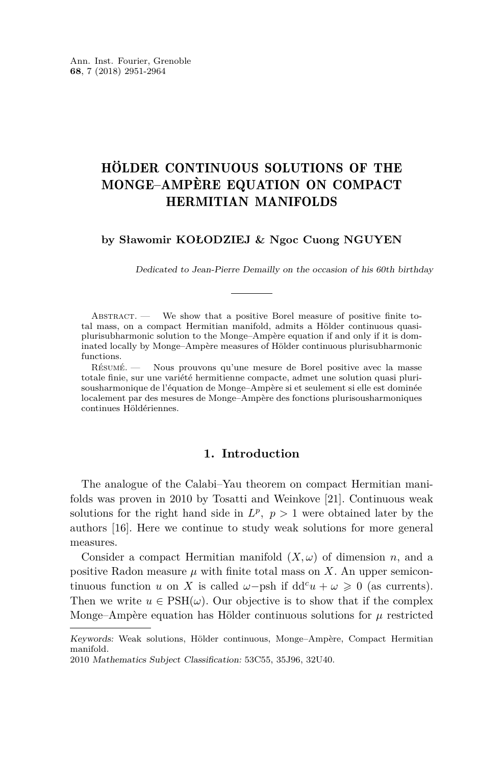#### HÖLDER CONTINUOUS SOLUTIONS OF THE MONGE–AMPÈRE EQUATION ON COMPACT HERMITIAN MANIFOLDS

#### **by Sławomir KOŁODZIEJ & Ngoc Cuong NGUYEN**

Dedicated to Jean-Pierre Demailly on the occasion of his 60th birthday

ABSTRACT. — We show that a positive Borel measure of positive finite total mass, on a compact Hermitian manifold, admits a Hölder continuous quasiplurisubharmonic solution to the Monge–Ampère equation if and only if it is dominated locally by Monge–Ampère measures of Hölder continuous plurisubharmonic functions.

Résumé. — Nous prouvons qu'une mesure de Borel positive avec la masse totale finie, sur une variété hermitienne compacte, admet une solution quasi plurisousharmonique de l'équation de Monge–Ampère si et seulement si elle est dominée localement par des mesures de Monge–Ampère des fonctions plurisousharmoniques continues Höldériennes.

#### **1. Introduction**

The analogue of the Calabi–Yau theorem on compact Hermitian manifolds was proven in 2010 by Tosatti and Weinkove [\[21\]](#page-14-0). Continuous weak solutions for the right hand side in  $L^p$ ,  $p > 1$  were obtained later by the authors [\[16\]](#page-14-1). Here we continue to study weak solutions for more general measures.

Consider a compact Hermitian manifold  $(X, \omega)$  of dimension *n*, and a positive Radon measure  $\mu$  with finite total mass on  $X$ . An upper semicontinuous function *u* on *X* is called  $\omega$ -psh if dd<sup>*c*</sup>*u* +  $\omega \ge 0$  (as currents). Then we write  $u \in \text{PSH}(\omega)$ . Our objective is to show that if the complex Monge–Ampère equation has Hölder continuous solutions for  $\mu$  restricted

Keywords: Weak solutions, Hölder continuous, Monge–Ampère, Compact Hermitian manifold.

<sup>2010</sup> Mathematics Subject Classification: 53C55, 35J96, 32U40.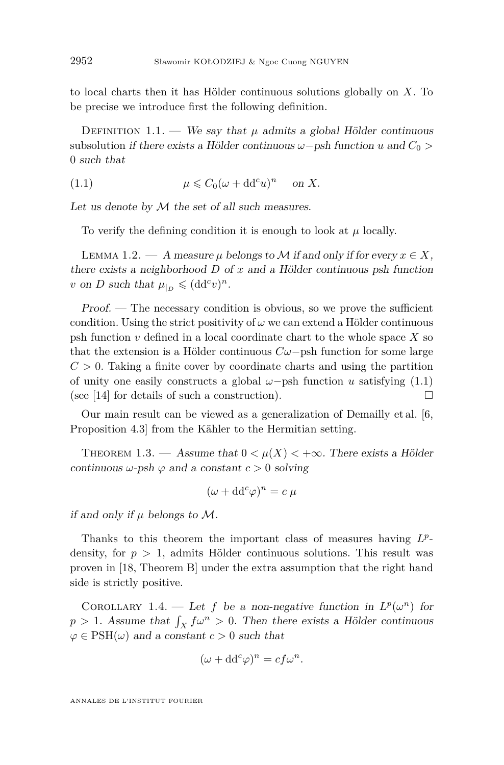to local charts then it has Hölder continuous solutions globally on *X*. To be precise we introduce first the following definition.

DEFINITION 1.1. — We say that  $\mu$  admits a global Hölder continuous subsolution if there exists a Hölder continuous  $\omega$ −psh function *u* and  $C_0$  > 0 such that

<span id="page-2-0"></span>(1.1) 
$$
\mu \leq C_0 (\omega + dd^c u)^n \quad \text{on } X.
$$

Let us denote by  $M$  the set of all such measures.

To verify the defining condition it is enough to look at *µ* locally.

<span id="page-2-1"></span>LEMMA 1.2. — A measure  $\mu$  belongs to M if and only if for every  $x \in X$ , there exists a neighborhood *D* of *x* and a Hölder continuous psh function *v* on *D* such that  $\mu|_D \leqslant (\mathrm{dd}^c v)^n$ .

 $Proof.$  — The necessary condition is obvious, so we prove the sufficient condition. Using the strict positivity of  $\omega$  we can extend a Hölder continuous psh function *v* defined in a local coordinate chart to the whole space *X* so that the extension is a Hölder continuous *Cω*−psh function for some large  $C > 0$ . Taking a finite cover by coordinate charts and using the partition of unity one easily constructs a global  $\omega$ -psh function *u* satisfying [\(1.1\)](#page-2-0) (see [\[14\]](#page-13-0) for details of such a construction).  $\Box$ 

Our main result can be viewed as a generalization of Demailly et al. [\[6,](#page-13-1) Proposition 4.3] from the Kähler to the Hermitian setting.

<span id="page-2-2"></span>THEOREM 1.3. — Assume that  $0 < \mu(X) < +\infty$ . There exists a Hölder continuous  $\omega$ -psh  $\varphi$  and a constant  $c > 0$  solving

$$
(\omega + dd^c \varphi)^n = c \mu
$$

if and only if *µ* belongs to M.

Thanks to this theorem the important class of measures having  $L^p$ density, for  $p > 1$ , admits Hölder continuous solutions. This result was proven in [\[18,](#page-14-2) Theorem B] under the extra assumption that the right hand side is strictly positive.

COROLLARY 1.4. — Let *f* be a non-negative function in  $L^p(\omega^n)$  for  $p > 1$ . Assume that  $\int_X f\omega^n > 0$ . Then there exists a Hölder continuous  $\varphi \in \mathrm{PSH}(\omega)$  and a constant  $c > 0$  such that

$$
(\omega + dd^c \varphi)^n = cf\omega^n.
$$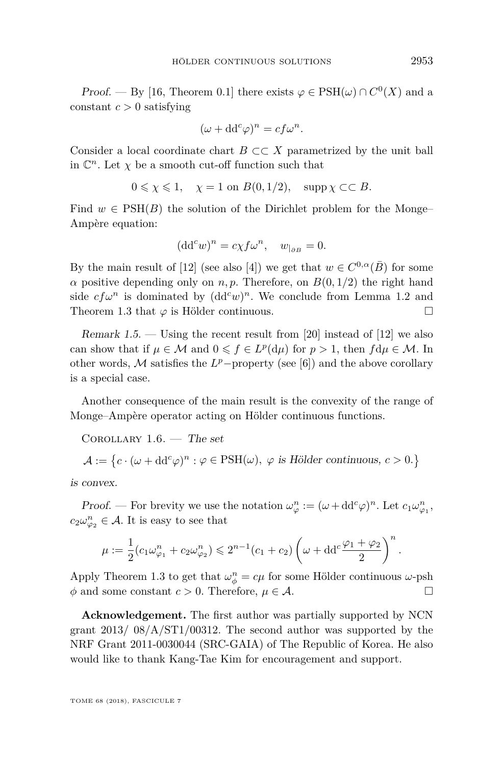*Proof.* — By [\[16,](#page-14-1) Theorem 0.1] there exists  $\varphi \in \text{PSH}(\omega) \cap C^0(X)$  and a constant  $c > 0$  satisfying

$$
(\omega + dd^c \varphi)^n = cf\omega^n.
$$

Consider a local coordinate chart *B* ⊂⊂ *X* parametrized by the unit ball in  $\mathbb{C}^n$ . Let  $\chi$  be a smooth cut-off function such that

$$
0 \le \chi \le 1, \quad \chi = 1 \text{ on } B(0, 1/2), \quad \text{supp } \chi \subset\subset B.
$$

Find  $w \in \text{PSH}(B)$  the solution of the Dirichlet problem for the Monge– Ampère equation:

$$
(\mathrm{d} \mathrm{d}^c w)^n = c \chi f \omega^n, \quad w_{|_{\partial B}} = 0.
$$

By the main result of [\[12\]](#page-13-2) (see also [\[4\]](#page-13-3)) we get that  $w \in C^{0,\alpha}(\overline{B})$  for some *α* positive depending only on *n, p.* Therefore, on  $B(0, 1/2)$  the right hand side  $cf\omega^n$  is dominated by  $(dd^c w)^n$ . We conclude from Lemma [1.2](#page-2-1) and Theorem [1.3](#page-2-2) that  $\varphi$  is Hölder continuous.  $\Box$ 

Remark 1.5. — Using the recent result from [\[20\]](#page-14-3) instead of [\[12\]](#page-13-2) we also can show that if  $\mu \in \mathcal{M}$  and  $0 \leqslant f \in L^p(\mathrm{d}\mu)$  for  $p > 1$ , then  $f \mathrm{d}\mu \in \mathcal{M}$ . In other words,  $M$  satisfies the  $L^p$ -property (see [\[6\]](#page-13-1)) and the above corollary is a special case.

Another consequence of the main result is the convexity of the range of Monge–Ampère operator acting on Hölder continuous functions.

COROLLARY  $1.6.$  – The set

$$
\mathcal{A} := \left\{ c \cdot (\omega + dd^c \varphi)^n : \varphi \in \text{PSH}(\omega), \ \varphi \text{ is Hölder continuous, } c > 0. \right\}
$$

is convex.

*Proof.* — For brevity we use the notation  $\omega_{\varphi}^n := (\omega + dd^c \varphi)^n$ . Let  $c_1 \omega_{\varphi_1}^n$ ,  $c_2\omega_{\varphi_2}^n \in \mathcal{A}$ . It is easy to see that

$$
\mu:=\frac{1}{2}\big(c_1\omega_{\varphi_1}^n+c_2\omega_{\varphi_2}^n\big)\leqslant 2^{n-1}\big(c_1+c_2\big)\left(\omega+\mathrm{d}\mathrm{d}^c\frac{\varphi_1+\varphi_2}{2}\right)^n.
$$

Apply Theorem [1.3](#page-2-2) to get that  $\omega_{\phi}^{n} = c\mu$  for some Hölder continuous  $\omega$ -psh  $\phi$  and some constant  $c > 0$ . Therefore,  $\mu \in \mathcal{A}$ .

**Acknowledgement.** The first author was partially supported by NCN grant  $2013/ 08/A/ST1/00312$ . The second author was supported by the NRF Grant 2011-0030044 (SRC-GAIA) of The Republic of Korea. He also would like to thank Kang-Tae Kim for encouragement and support.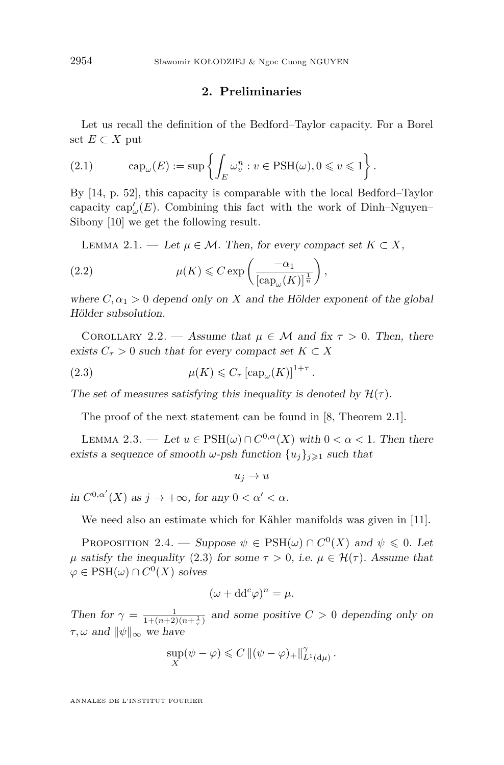#### **2. Preliminaries**

Let us recall the definition of the Bedford–Taylor capacity. For a Borel set  $E$  ⊂  $X$  put

(2.1) 
$$
\operatorname{cap}_{\omega}(E) := \sup \left\{ \int_{E} \omega_v^n : v \in \text{PSH}(\omega), 0 \leq v \leq 1 \right\}.
$$

By [\[14,](#page-13-0) p. 52], this capacity is comparable with the local Bedford–Taylor capacity  $\text{cap}_{\omega}(E)$ . Combining this fact with the work of Dinh–Nguyen– Sibony [\[10\]](#page-13-4) we get the following result.

<span id="page-4-3"></span><span id="page-4-2"></span>LEMMA 2.1. — Let  $\mu \in \mathcal{M}$ . Then, for every compact set  $K \subset X$ ,

(2.2) 
$$
\mu(K) \leq C \exp\left(\frac{-\alpha_1}{[\text{cap}_{\omega}(K)]^{\frac{1}{n}}}\right),
$$

where  $C, \alpha_1 > 0$  depend only on X and the Hölder exponent of the global Hölder subsolution.

<span id="page-4-4"></span>COROLLARY 2.2. — Assume that  $\mu \in \mathcal{M}$  and fix  $\tau > 0$ . Then, there exists  $C_{\tau} > 0$  such that for every compact set  $K \subset X$ 

<span id="page-4-0"></span>(2.3) 
$$
\mu(K) \leqslant C_{\tau} \left[ \operatorname{cap}_{\omega}(K) \right]^{1+\tau}.
$$

The set of measures satisfying this inequality is denoted by  $\mathcal{H}(\tau)$ .

The proof of the next statement can be found in [\[8,](#page-13-5) Theorem 2.1].

<span id="page-4-1"></span>LEMMA 2.3. — Let  $u \in \text{PSH}(\omega) \cap C^{0,\alpha}(X)$  with  $0 < \alpha < 1$ . Then there exists a sequence of smooth  $\omega$ -psh function  $\{u_i\}_{i\geq 1}$  such that

 $u_j \rightarrow u$ in  $C^{0,\alpha'}(X)$  as  $j \to +\infty$ , for any  $0 < \alpha' < \alpha$ .

We need also an estimate which for Kähler manifolds was given in [\[11\]](#page-13-6).

<span id="page-4-5"></span>PROPOSITION 2.4. — Suppose  $\psi \in \text{PSH}(\omega) \cap C^0(X)$  and  $\psi \leq 0$ . Let *μ* satisfy the inequality [\(2.3\)](#page-4-0) for some  $τ > 0$ , i.e.  $μ ∈ Η(τ)$ . Assume that  $\varphi \in \mathrm{PSH}(\omega) \cap C^0(X)$  solves

$$
(\omega + dd^c \varphi)^n = \mu.
$$

Then for  $\gamma = \frac{1}{1 + (n+2)(n+\frac{1}{\tau})}$  and some positive  $C > 0$  depending only on  $\tau, \omega$  and  $\|\psi\|_{\infty}$  we have

$$
\sup_X(\psi - \varphi) \leqslant C \, \|(\psi - \varphi)_+\|_{L^1(\mathrm{d}\mu)}^{\gamma} \, .
$$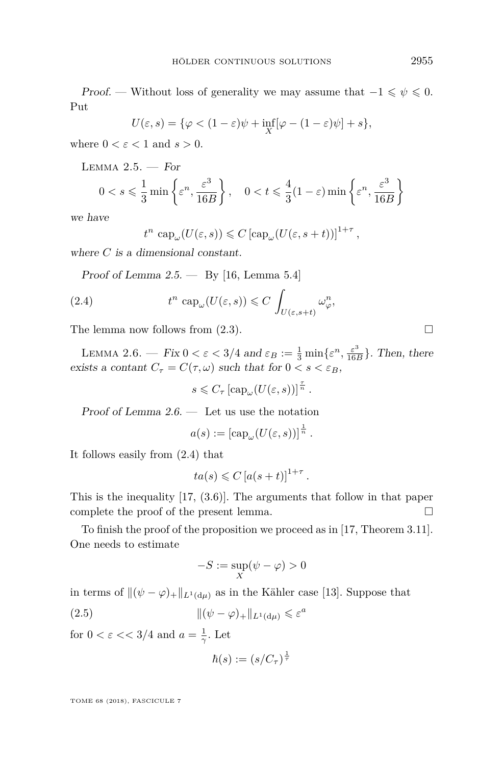Proof. — Without loss of generality we may assume that  $-1 \leq \psi \leq 0$ . Put

$$
U(\varepsilon, s) = \{ \varphi < (1 - \varepsilon)\psi + \inf_{X} [\varphi - (1 - \varepsilon)\psi] + s \},
$$

where  $0 < \varepsilon < 1$  and  $s > 0$ .

<span id="page-5-0"></span>LEMMA  $2.5.$  - For

$$
0 < s \leqslant \frac{1}{3} \min \left\{ \varepsilon^n, \frac{\varepsilon^3}{16B} \right\}, \quad 0 < t \leqslant \frac{4}{3} (1 - \varepsilon) \min \left\{ \varepsilon^n, \frac{\varepsilon^3}{16B} \right\}
$$

we have

<span id="page-5-2"></span>
$$
t^n \text{ cap}_{\omega}(U(\varepsilon, s)) \leq C \left[ \text{cap}_{\omega}(U(\varepsilon, s+t)) \right]^{1+\tau},
$$

where *C* is a dimensional constant.

Proof of Lemma  $2.5.$  — By [\[16,](#page-14-1) Lemma 5.4]

(2.4) 
$$
t^{n} \operatorname{cap}_{\omega}(U(\varepsilon, s)) \leqslant C \int_{U(\varepsilon, s+t)} \omega_{\varphi}^{n},
$$

The lemma now follows from  $(2.3)$ .

<span id="page-5-1"></span>LEMMA 2.6. — Fix  $0 < \varepsilon < 3/4$  and  $\varepsilon_B := \frac{1}{3} \min\{\varepsilon^n, \frac{\varepsilon^3}{16} \}$  $\frac{\varepsilon^6}{16B}$ . Then, there exists a contant  $C_{\tau} = C(\tau, \omega)$  such that for  $0 \lt s \lt \varepsilon_B$ ,

 $s \leq C_{\tau} \left[ \text{cap}_{\omega} (U(\varepsilon, s)) \right]^{\frac{\tau}{n}}$ .

Proof of Lemma  $2.6.$  — Let us use the notation

$$
a(s) := \left[\mathrm{cap}_{\omega}(U(\varepsilon, s))\right]^{\frac{1}{n}}.
$$

It follows easily from [\(2.4\)](#page-5-2) that

$$
ta(s) \leqslant C \left[ a(s+t) \right]^{1+\tau}.
$$

This is the inequality [\[17,](#page-14-4) (3.6)]. The arguments that follow in that paper complete the proof of the present lemma.

To finish the proof of the proposition we proceed as in [\[17,](#page-14-4) Theorem 3.11]. One needs to estimate

<span id="page-5-3"></span>
$$
-S:=\sup_X(\psi-\varphi)>0
$$

in terms of  $\|(\psi - \varphi)_+\|_{L^1(d,\mu)}$  as in the Kähler case [\[13\]](#page-13-7). Suppose that

(2.5) 
$$
\|(\psi - \varphi)_{+}\|_{L^{1}(\mathrm{d}\mu)} \leqslant \varepsilon^{a}
$$

for  $0 < \varepsilon <$  3/4 and  $a = \frac{1}{\gamma}$ . Let

$$
\hbar(s) := (s/C_{\tau})^{\frac{1}{\tau}}
$$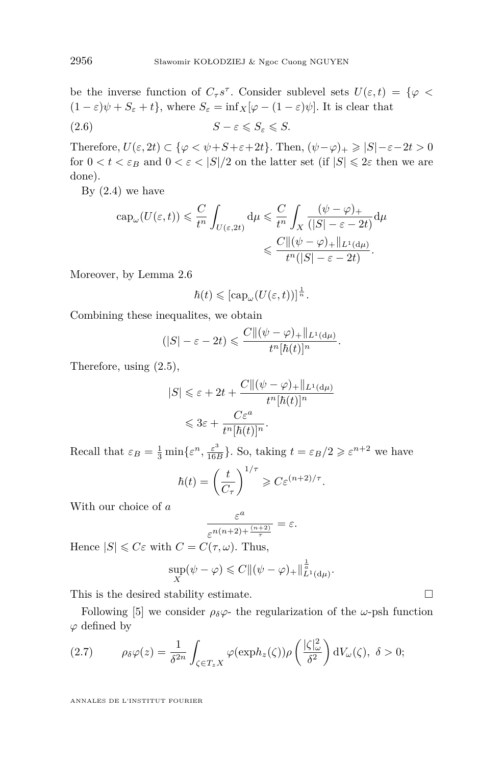be the inverse function of  $C_{\tau} s^{\tau}$ . Consider sublevel sets  $U(\varepsilon, t) = \{ \varphi$  $(1 - \varepsilon)\psi + S_{\varepsilon} + t$ , where  $S_{\varepsilon} = \inf_{X}[\varphi - (1 - \varepsilon)\psi]$ . It is clear that

$$
(2.6) \t\t S - \varepsilon \leqslant S_{\varepsilon} \leqslant S.
$$

Therefore,  $U(\varepsilon, 2t) \subset {\varphi \lt \psi + S + \varepsilon + 2t}$ . Then,  $(\psi - \varphi)_+ \ge |S| - \varepsilon - 2t > 0$ for  $0 < t < \varepsilon_B$  and  $0 < \varepsilon < |S|/2$  on the latter set (if  $|S| \leq 2\varepsilon$  then we are done).

By  $(2.4)$  we have

$$
\begin{aligned} \operatorname{cap}_{\omega}(U(\varepsilon,t)) &\leq \frac{C}{t^n} \int_{U(\varepsilon,2t)} \mathrm{d}\mu \leq \frac{C}{t^n} \int_X \frac{(\psi-\varphi)_+}{(|S|-\varepsilon-2t)} \mathrm{d}\mu \\ &\leqslant \frac{C\|(\psi-\varphi)_+\|_{L^1(\mathrm{d}\mu)}}{t^n(|S|-\varepsilon-2t)} .\end{aligned}
$$

Moreover, by Lemma [2.6](#page-5-1)

$$
\hbar(t) \leqslant \left[ \mathrm{cap}_{\omega} (U(\varepsilon, t)) \right]^{\frac{1}{n}}.
$$

Combining these inequalites, we obtain

$$
(|S| - \varepsilon - 2t) \leqslant \frac{C \| (\psi - \varphi)_+\|_{L^1(\mathrm{d}\mu)}}{t^n [\hbar(t)]^n}.
$$

Therefore, using [\(2.5\)](#page-5-3),

$$
|S| \leq \varepsilon + 2t + \frac{C\| (\psi - \varphi)_+\|_{L^1(\mathrm{d}\mu)}}{t^n [\hbar(t)]^n}
$$
  

$$
\leq 3\varepsilon + \frac{C\varepsilon^a}{t^n [\hbar(t)]^n}.
$$

Recall that  $\varepsilon_B = \frac{1}{3} \min\{\varepsilon^n, \frac{\varepsilon^3}{16} \}$  $\frac{\varepsilon^3}{16B}$ . So, taking  $t = \varepsilon_B/2 \geqslant \varepsilon^{n+2}$  we have

$$
\hbar(t) = \left(\frac{t}{C_{\tau}}\right)^{1/\tau} \geqslant C \varepsilon^{(n+2)/\tau}.
$$

With our choice of *a*

$$
\frac{\varepsilon^a}{\varepsilon^{n(n+2)+\frac{(n+2)}{\tau}}}=\varepsilon.
$$

Hence  $|S| \leq C\varepsilon$  with  $C = C(\tau, \omega)$ . Thus,

$$
\sup_X(\psi - \varphi) \leqslant C \|(\psi - \varphi)_+\|_{L^1(\mathrm{d}\mu)}^{\frac{1}{a}}.
$$

This is the desired stability estimate.  $\Box$ 

Following [\[5\]](#page-13-8) we consider  $\rho_{\delta}\varphi$ - the regularization of the  $\omega$ -psh function *ϕ* defined by

<span id="page-6-0"></span>(2.7) 
$$
\rho_{\delta} \varphi(z) = \frac{1}{\delta^{2n}} \int_{\zeta \in T_z X} \varphi(\exp h_z(\zeta)) \rho\left(\frac{|\zeta|_{\omega}^2}{\delta^2}\right) dV_{\omega}(\zeta), \ \delta > 0;
$$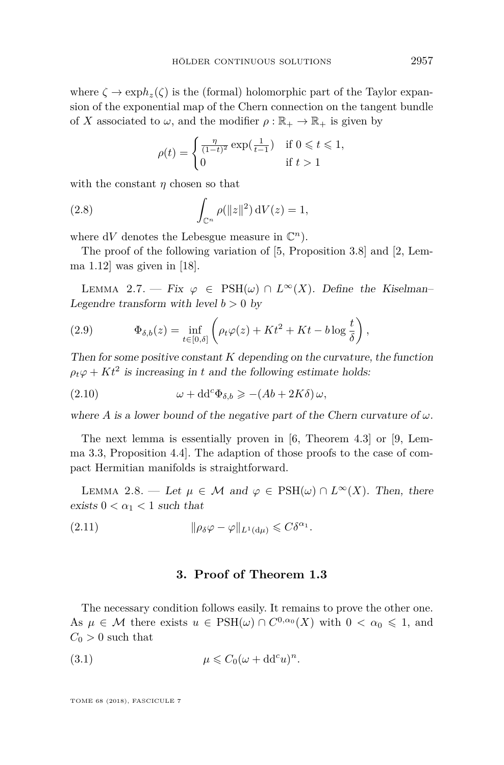where  $\zeta \to \exph_z(\zeta)$  is the (formal) holomorphic part of the Taylor expansion of the exponential map of the Chern connection on the tangent bundle of *X* associated to  $\omega$ , and the modifier  $\rho : \mathbb{R}_+ \to \mathbb{R}_+$  is given by

$$
\rho(t) = \begin{cases} \frac{\eta}{(1-t)^2} \exp(\frac{1}{t-1}) & \text{if } 0 \leq t \leq 1, \\ 0 & \text{if } t > 1 \end{cases}
$$

with the constant *η* chosen so that

(2.8) 
$$
\int_{\mathbb{C}^n} \rho(\|z\|^2) dV(z) = 1,
$$

where  $dV$  denotes the Lebesgue measure in  $\mathbb{C}^n$ ).

The proof of the following variation of [\[5,](#page-13-8) Proposition 3.8] and [\[2,](#page-13-9) Lemma  $1.12$  was given in [\[18\]](#page-14-2).

<span id="page-7-1"></span>LEMMA 2.7. — Fix  $\varphi \in \text{PSH}(\omega) \cap L^{\infty}(X)$ . Define the Kiselman– Legendre transform with level  $b > 0$  by

(2.9) 
$$
\Phi_{\delta,b}(z) = \inf_{t \in [0,\delta]} \left( \rho_t \varphi(z) + Kt^2 + Kt - b \log \frac{t}{\delta} \right),
$$

Then for some positive constant *K* depending on the curvature, the function  $\rho_t \varphi + Kt^2$  is increasing in *t* and the following estimate holds:

(2.10) 
$$
\omega + dd^c \Phi_{\delta,b} \geqslant -(Ab + 2K\delta) \omega,
$$

where *A* is a lower bound of the negative part of the Chern curvature of  $\omega$ .

The next lemma is essentially proven in [\[6,](#page-13-1) Theorem 4.3] or [\[9,](#page-13-10) Lemma 3.3, Proposition 4.4]. The adaption of those proofs to the case of compact Hermitian manifolds is straightforward.

<span id="page-7-0"></span>LEMMA 2.8. — Let  $\mu \in \mathcal{M}$  and  $\varphi \in \text{PSH}(\omega) \cap L^{\infty}(X)$ . Then, there exists  $0 < \alpha_1 < 1$  such that

(2.11) 
$$
\|\rho_{\delta}\varphi - \varphi\|_{L^1(\mathrm{d}\mu)} \leqslant C\delta^{\alpha_1}.
$$

#### **3. Proof of Theorem [1.3](#page-2-2)**

The necessary condition follows easily. It remains to prove the other one. As  $\mu \in \mathcal{M}$  there exists  $u \in \text{PSH}(\omega) \cap C^{0,\alpha_0}(X)$  with  $0 < \alpha_0 \leq 1$ , and  $C_0 > 0$  such that

(3.1) 
$$
\mu \leq C_0 (\omega + dd^c u)^n.
$$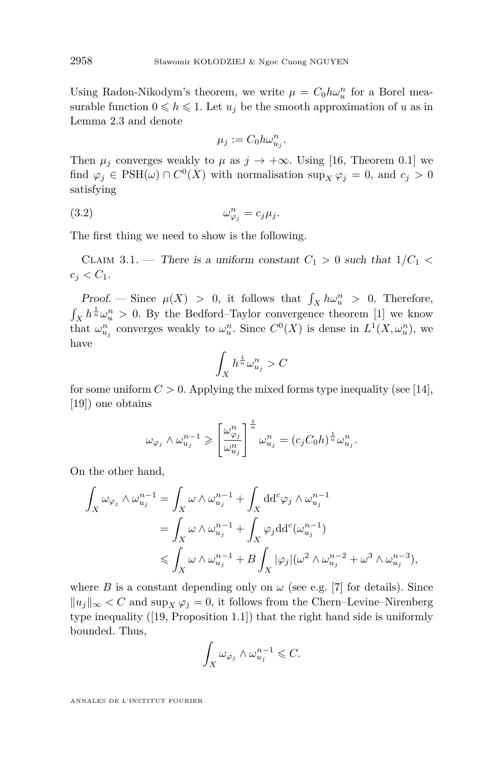Using Radon-Nikodym's theorem, we write  $\mu = C_0 h \omega_u^n$  for a Borel measurable function  $0 \le h \le 1$ . Let  $u_j$  be the smooth approximation of *u* as in Lemma [2.3](#page-4-1) and denote

$$
\mu_j := C_0 h \omega_{u_j}^n.
$$

Then  $\mu_j$  converges weakly to  $\mu$  as  $j \to +\infty$ . Using [\[16,](#page-14-1) Theorem 0.1] we find  $\varphi_j \in \text{PSH}(\omega) \cap C^0(X)$  with normalisation  $\sup_X \varphi_j = 0$ , and  $c_j > 0$ satisfying

$$
(3.2) \t\t \t\t \t\t \omega_{\varphi_j}^n = c_j \mu_j.
$$

The first thing we need to show is the following.

<span id="page-8-0"></span>CLAIM 3.1. — There is a uniform constant  $C_1 > 0$  such that  $1/C_1 <$  $c_i < C_1$ .

Proof. — Since  $\mu(X) > 0$ , it follows that  $\int_X h \omega_u^n > 0$ . Therefore,  $\int_X h^{\frac{1}{n}} \omega_u^n > 0$ . By the Bedford–Taylor convergence theorem [\[1\]](#page-13-11) we know that  $\omega_{u_j}^n$  converges weakly to  $\omega_u^n$ . Since  $C^0(X)$  is dense in  $L^1(X, \omega_u^n)$ , we have

$$
\int_X h^{\frac{1}{n}} \omega_{u_j}^n > C
$$

for some uniform  $C > 0$ . Applying the mixed forms type inequality (see [\[14\]](#page-13-0), [\[19\]](#page-14-5)) one obtains

$$
\omega_{\varphi_j} \wedge \omega_{u_j}^{n-1} \geqslant \left[\frac{\omega_{\varphi_j}^n}{\omega_{u_j}^n}\right]^{\frac{1}{n}} \omega_{u_j}^n = (c_j C_0 h)^{\frac{1}{n}} \omega_{u_j}^n.
$$

On the other hand,

$$
\int_X \omega_{\varphi_j} \wedge \omega_{u_j}^{n-1} = \int_X \omega \wedge \omega_{u_j}^{n-1} + \int_X \mathrm{d}^c \varphi_j \wedge \omega_{u_j}^{n-1}
$$
\n
$$
= \int_X \omega \wedge \omega_{u_j}^{n-1} + \int_X \varphi_j \mathrm{d} \mathrm{d}^c (\omega_{u_j}^{n-1})
$$
\n
$$
\leq \int_X \omega \wedge \omega_{u_j}^{n-1} + B \int_X |\varphi_j| (\omega^2 \wedge \omega_{u_j}^{n-2} + \omega^3 \wedge \omega_{u_j}^{n-3}),
$$

where *B* is a constant depending only on  $\omega$  (see e.g. [\[7\]](#page-13-12) for details). Since  $||u_i||_{\infty}$  < C and sup<sub>X</sub>  $\varphi_i$  = 0, it follows from the Chern–Levine–Nirenberg type inequality ([\[19,](#page-14-5) Proposition 1.1]) that the right hand side is uniformly bounded. Thus,

$$
\int_X \omega_{\varphi_j} \wedge \omega_{u_j}^{n-1} \leqslant C.
$$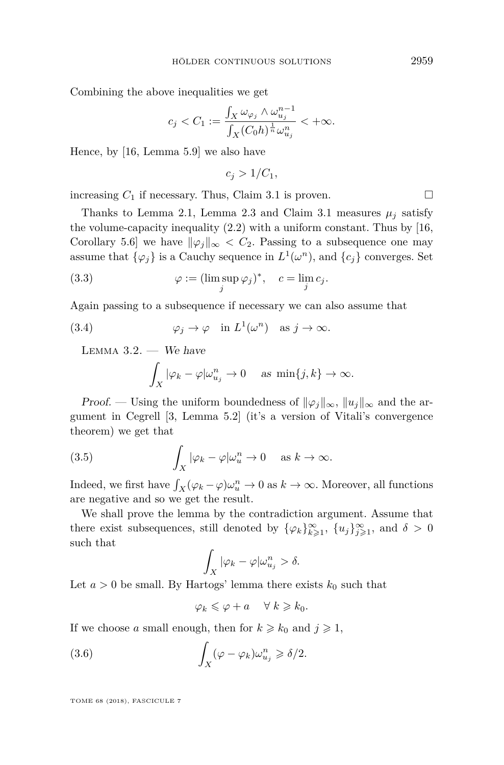Combining the above inequalities we get

$$
c_j < C_1 := \frac{\int_X \omega_{\varphi_j} \wedge \omega_{u_j}^{n-1}}{\int_X (C_0 h)^{\frac{1}{n}} \omega_{u_j}^n} < +\infty.
$$

Hence, by [\[16,](#page-14-1) Lemma 5.9] we also have

$$
c_j > 1/C_1,
$$

increasing  $C_1$  if necessary. Thus, Claim [3.1](#page-8-0) is proven.

Thanks to Lemma [2.1,](#page-4-2) Lemma [2.3](#page-4-1) and Claim [3.1](#page-8-0) measures  $\mu_i$  satisfy the volume-capacity inequality [\(2.2\)](#page-4-3) with a uniform constant. Thus by [\[16,](#page-14-1) Corollary 5.6] we have  $\|\varphi_j\|_{\infty} < C_2$ . Passing to a subsequence one may assume that  $\{\varphi_j\}$  is a Cauchy sequence in  $L^1(\omega^n)$ , and  $\{c_j\}$  converges. Set

(3.3) 
$$
\varphi := (\limsup_j \varphi_j)^*, \quad c = \lim_j c_j.
$$

Again passing to a subsequence if necessary we can also assume that

(3.4) 
$$
\varphi_j \to \varphi \quad \text{in } L^1(\omega^n) \quad \text{as } j \to \infty.
$$

<span id="page-9-2"></span>LEMMA  $3.2.$  — We have

<span id="page-9-3"></span><span id="page-9-0"></span>
$$
\int_X |\varphi_k - \varphi| \omega_{u_j}^n \to 0 \quad \text{as } \min\{j,k\} \to \infty.
$$

*Proof.* — Using the uniform boundedness of  $\|\varphi_i\|_{\infty}$ ,  $\|u_i\|_{\infty}$  and the argument in Cegrell [\[3,](#page-13-13) Lemma 5.2] (it's a version of Vitali's convergence theorem) we get that

(3.5) 
$$
\int_X |\varphi_k - \varphi| \omega_u^n \to 0 \quad \text{as } k \to \infty.
$$

Indeed, we first have  $\int_X (\varphi_k - \varphi) \omega_u^n \to 0$  as  $k \to \infty$ . Moreover, all functions are negative and so we get the result.

We shall prove the lemma by the contradiction argument. Assume that there exist subsequences, still denoted by  $\{\varphi_k\}_{k\geqslant1}^{\infty}$ ,  $\{u_j\}_{j\geqslant1}^{\infty}$ , and  $\delta > 0$ such that

$$
\int_X |\varphi_k - \varphi| \omega_{u_j}^n > \delta.
$$

Let  $a > 0$  be small. By Hartogs' lemma there exists  $k_0$  such that

<span id="page-9-1"></span>
$$
\varphi_k \leqslant \varphi + a \quad \forall \ k \geqslant k_0.
$$

If we choose *a* small enough, then for  $k \geq k_0$  and  $j \geq 1$ ,

(3.6) 
$$
\int_X (\varphi - \varphi_k) \omega_{u_j}^n \geq \delta/2.
$$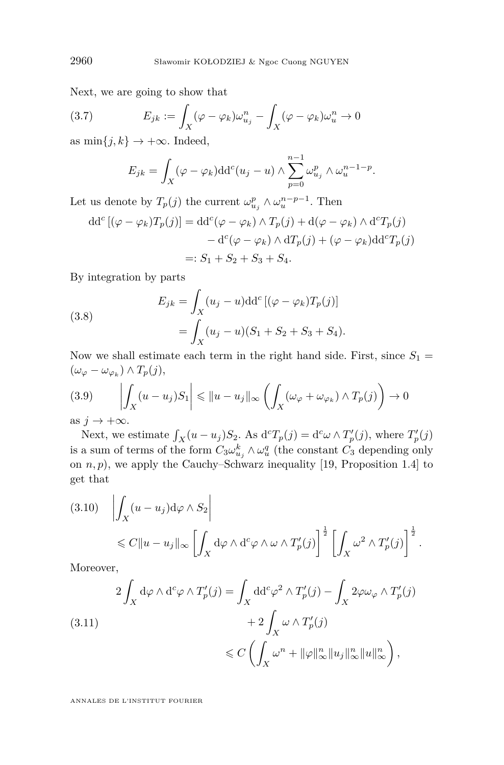Next, we are going to show that

(3.7) 
$$
E_{jk} := \int_X (\varphi - \varphi_k) \omega_{u_j}^n - \int_X (\varphi - \varphi_k) \omega_u^n \to 0
$$

as  $\min\{j,k\} \to +\infty$ . Indeed,

<span id="page-10-0"></span>
$$
E_{jk} = \int_X (\varphi - \varphi_k) dd^c(u_j - u) \wedge \sum_{p=0}^{n-1} \omega_{u_j}^p \wedge \omega_u^{n-1-p}.
$$

Let us denote by  $T_p(j)$  the current  $\omega_{u_j}^p \wedge \omega_u^{n-p-1}$ . Then

$$
dd^{c}[(\varphi - \varphi_{k})T_{p}(j)] = dd^{c}(\varphi - \varphi_{k}) \wedge T_{p}(j) + d(\varphi - \varphi_{k}) \wedge d^{c}T_{p}(j)
$$

$$
- d^{c}(\varphi - \varphi_{k}) \wedge dT_{p}(j) + (\varphi - \varphi_{k})dd^{c}T_{p}(j)
$$

$$
=: S_{1} + S_{2} + S_{3} + S_{4}.
$$

By integration by parts

(3.8) 
$$
E_{jk} = \int_X (u_j - u) \mathrm{d} \mathrm{d}^c \left[ (\varphi - \varphi_k) T_p(j) \right] = \int_X (u_j - u) (S_1 + S_2 + S_3 + S_4).
$$

Now we shall estimate each term in the right hand side. First, since  $S_1$  =  $(\omega_{\varphi} - \omega_{\varphi_k}) \wedge T_p(j),$ 

$$
(3.9) \qquad \left| \int_X (u - u_j) S_1 \right| \leq \|u - u_j\|_{\infty} \left( \int_X (\omega_\varphi + \omega_{\varphi_k}) \wedge T_p(j) \right) \to 0
$$

as  $j \to +\infty$ *.* 

Next, we estimate  $\int_X (u - u_j) S_2$ . As  $d^c T_p(j) = d^c \omega \wedge T'_p(j)$ , where  $T'_p(j)$ is a sum of terms of the form  $C_3 \omega_{u_j}^k \wedge \omega_u^q$  (the constant  $C_3$  depending only on  $n, p$ , we apply the Cauchy–Schwarz inequality [\[19,](#page-14-5) Proposition 1.4] to get that

$$
(3.10) \quad \left| \int_X (u - u_j) \mathrm{d}\varphi \wedge S_2 \right|
$$
  
\$\leq C \|u - u\_j\|\_{\infty} \left[ \int\_X \mathrm{d}\varphi \wedge \mathrm{d}^c \varphi \wedge \omega \wedge T'\_p(j) \right]^{\frac{1}{2}} \left[ \int\_X \omega^2 \wedge T'\_p(j) \right]^{\frac{1}{2}}\$.

Moreover,

(3.11) 
$$
2 \int_X d\varphi \wedge d^c \varphi \wedge T'_p(j) = \int_X dd^c \varphi^2 \wedge T'_p(j) - \int_X 2\varphi \omega_\varphi \wedge T'_p(j) + 2 \int_X \omega \wedge T'_p(j) \leq C \left( \int_X \omega^n + ||\varphi||^n_\infty ||u_j||^n_\infty ||u||^n_\infty \right),
$$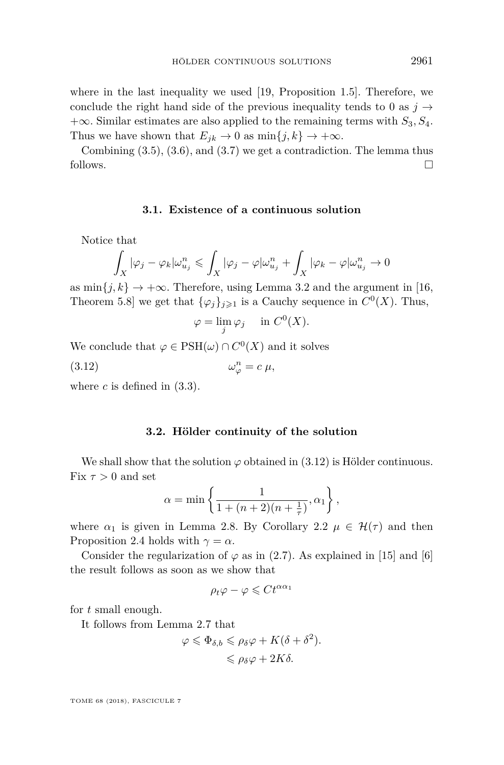where in the last inequality we used [\[19,](#page-14-5) Proposition 1.5]. Therefore, we conclude the right hand side of the previous inequality tends to 0 as  $j \rightarrow$ +∞. Similar estimates are also applied to the remaining terms with *S*3*, S*4. Thus we have shown that  $E_{jk} \to 0$  as  $\min\{j,k\} \to +\infty$ .

Combining  $(3.5)$ ,  $(3.6)$ , and  $(3.7)$  we get a contradiction. The lemma thus follows.  $\Box$ 

#### **3.1. Existence of a continuous solution**

Notice that

$$
\int_X |\varphi_j - \varphi_k| \omega_{u_j}^n \le \int_X |\varphi_j - \varphi| \omega_{u_j}^n + \int_X |\varphi_k - \varphi| \omega_{u_j}^n \to 0
$$

as  $\min\{j,k\} \to +\infty$ . Therefore, using Lemma [3.2](#page-9-2) and the argument in [\[16,](#page-14-1) Theorem 5.8] we get that  $\{\varphi_j\}_{j\geqslant 1}$  is a Cauchy sequence in  $C^0(X)$ . Thus,

<span id="page-11-0"></span>
$$
\varphi = \lim_{j} \varphi_j \quad \text{in } C^0(X).
$$

We conclude that  $\varphi \in \text{PSH}(\omega) \cap C^0(X)$  and it solves

(3.12) *ω*  $\mu_{\varphi}^n = c \mu,$ 

where  $c$  is defined in  $(3.3)$ .

#### **3.2. Hölder continuity of the solution**

We shall show that the solution  $\varphi$  obtained in [\(3.12\)](#page-11-0) is Hölder continuous. Fix  $\tau > 0$  and set

$$
\alpha = \min\left\{\frac{1}{1 + (n+2)(n+\frac{1}{\tau})}, \alpha_1\right\},\,
$$

where  $\alpha_1$  is given in Lemma [2.8.](#page-7-0) By Corollary [2.2](#page-4-4)  $\mu \in \mathcal{H}(\tau)$  and then Proposition [2.4](#page-4-5) holds with  $\gamma = \alpha$ .

Consider the regularization of  $\varphi$  as in [\(2.7\)](#page-6-0). As explained in [\[15\]](#page-14-6) and [\[6\]](#page-13-1) the result follows as soon as we show that

$$
\rho_t \varphi - \varphi \leqslant C t^{\alpha \alpha_1}
$$

for *t* small enough.

It follows from Lemma [2.7](#page-7-1) that

$$
\varphi \leq \Phi_{\delta,b} \leq \rho_{\delta}\varphi + K(\delta + \delta^2).
$$
  

$$
\leq \rho_{\delta}\varphi + 2K\delta.
$$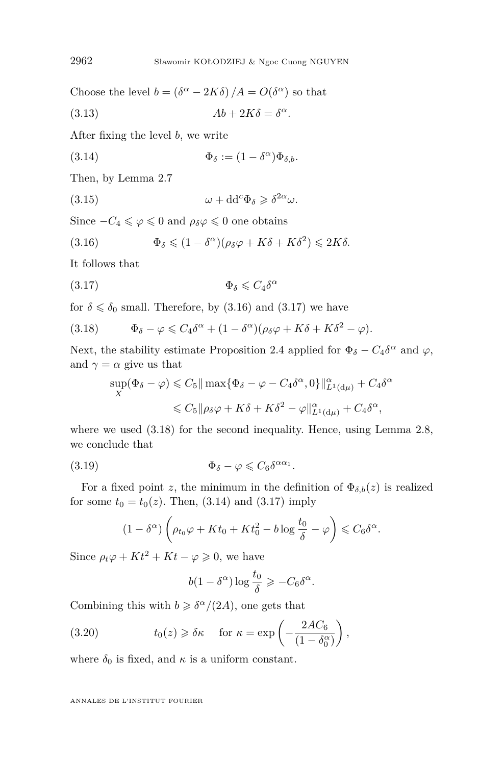Choose the level  $b = (\delta^{\alpha} - 2K\delta)/A = O(\delta^{\alpha})$  so that

(3.13) 
$$
Ab + 2K\delta = \delta^{\alpha}.
$$

After fixing the level *b*, we write

<span id="page-12-3"></span>(3.14)  $\Phi_{\delta} := (1 - \delta^{\alpha}) \Phi_{\delta, b}.$ 

Then, by Lemma [2.7](#page-7-1)

(3.15)  $\omega + dd^c \Phi_{\delta} \geq \delta^{2\alpha} \omega$ .

Since  $-C_4 \le \varphi \le 0$  and  $\rho_\delta \varphi \le 0$  one obtains

<span id="page-12-0"></span>(3.16) 
$$
\Phi_{\delta} \leq (1 - \delta^{\alpha})(\rho_{\delta} \varphi + K\delta + K\delta^{2}) \leq 2K\delta.
$$

It follows that

<span id="page-12-1"></span>
$$
\Phi_{\delta} \leqslant C_4 \delta^{\alpha}
$$

for  $\delta \leq \delta_0$  small. Therefore, by [\(3.16\)](#page-12-0) and [\(3.17\)](#page-12-1) we have

<span id="page-12-2"></span>(3.18) 
$$
\Phi_{\delta} - \varphi \leq C_4 \delta^{\alpha} + (1 - \delta^{\alpha})(\rho_{\delta} \varphi + K\delta + K\delta^2 - \varphi).
$$

Next, the stability estimate Proposition [2.4](#page-4-5) applied for  $\Phi_{\delta} - C_4 \delta^{\alpha}$  and  $\varphi$ , and  $\gamma = \alpha$  give us that

$$
\sup_{X} (\Phi_{\delta} - \varphi) \leq C_{5} \|\max \{\Phi_{\delta} - \varphi - C_{4}\delta^{\alpha}, 0\}\|_{L^{1}(\text{d}\mu)}^{\alpha} + C_{4}\delta^{\alpha}
$$
  

$$
\leq C_{5} \|\rho_{\delta}\varphi + K\delta + K\delta^{2} - \varphi\|_{L^{1}(\text{d}\mu)}^{\alpha} + C_{4}\delta^{\alpha},
$$

where we used  $(3.18)$  for the second inequality. Hence, using Lemma [2.8,](#page-7-0) we conclude that

(3.19) 
$$
\Phi_{\delta} - \varphi \leqslant C_6 \delta^{\alpha \alpha_1}.
$$

For a fixed point *z*, the minimum in the definition of  $\Phi_{\delta,b}(z)$  is realized for some  $t_0 = t_0(z)$ . Then, [\(3.14\)](#page-12-3) and [\(3.17\)](#page-12-1) imply

<span id="page-12-4"></span>
$$
(1 - \delta^{\alpha}) \left( \rho_{t_0} \varphi + K t_0 + K t_0^2 - b \log \frac{t_0}{\delta} - \varphi \right) \leq C_6 \delta^{\alpha}.
$$

Since  $\rho_t \varphi + Kt^2 + Kt - \varphi \geq 0$ , we have

$$
b(1 - \delta^{\alpha}) \log \frac{t_0}{\delta} \geqslant -C_6 \delta^{\alpha}.
$$

Combining this with  $b \geq \delta^{\alpha}/(2A)$ , one gets that

(3.20) 
$$
t_0(z) \geq \delta \kappa \quad \text{for } \kappa = \exp\left(-\frac{2AC_6}{(1-\delta_0^{\alpha})}\right),
$$

where  $\delta_0$  is fixed, and  $\kappa$  is a uniform constant.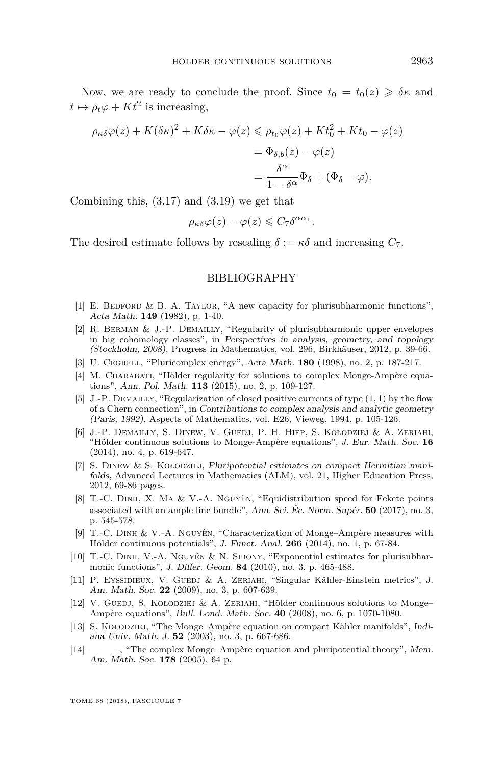Now, we are ready to conclude the proof. Since  $t_0 = t_0(z) \geq \delta \kappa$  and  $t \mapsto \rho_t \varphi + Kt^2$  is increasing,

$$
\rho_{\kappa\delta}\varphi(z) + K(\delta\kappa)^2 + K\delta\kappa - \varphi(z) \le \rho_{t_0}\varphi(z) + Kt_0^2 + Kt_0 - \varphi(z)
$$
  
= 
$$
\Phi_{\delta,b}(z) - \varphi(z)
$$
  
= 
$$
\frac{\delta^{\alpha}}{1 - \delta^{\alpha}}\Phi_{\delta} + (\Phi_{\delta} - \varphi).
$$

Combining this, [\(3.17\)](#page-12-1) and [\(3.19\)](#page-12-4) we get that

$$
\rho_{\kappa\delta}\varphi(z)-\varphi(z)\leqslant C_7\delta^{\alpha\alpha_1}.
$$

The desired estimate follows by rescaling  $\delta := \kappa \delta$  and increasing  $C_7$ .

#### BIBLIOGRAPHY

- <span id="page-13-11"></span>[1] E. BEDFORD & B. A. TAYLOR, "A new capacity for plurisubharmonic functions", Acta Math. **149** (1982), p. 1-40.
- <span id="page-13-9"></span>[2] R. BERMAN & J.-P. DEMAILLY, "Regularity of plurisubharmonic upper envelopes in big cohomology classes", in Perspectives in analysis, geometry, and topology (Stockholm, 2008), Progress in Mathematics, vol. 296, Birkhäuser, 2012, p. 39-66.
- <span id="page-13-13"></span>[3] U. Cegrell, "Pluricomplex energy", Acta Math. **180** (1998), no. 2, p. 187-217.
- <span id="page-13-3"></span>[4] M. CHARABATI, "Hölder regularity for solutions to complex Monge-Ampère equations", Ann. Pol. Math. **113** (2015), no. 2, p. 109-127.
- <span id="page-13-8"></span>[5] J.-P. Demailly, "Regularization of closed positive currents of type (1*,* 1) by the flow of a Chern connection", in Contributions to complex analysis and analytic geometry (Paris, 1992), Aspects of Mathematics, vol. E26, Vieweg, 1994, p. 105-126.
- <span id="page-13-1"></span>[6] J.-P. Demailly, S. Dinew, V. Guedj, P. H. Hiep, S. Kołodziej & A. Zeriahi, "Hölder continuous solutions to Monge-Ampère equations", J. Eur. Math. Soc. **16** (2014), no. 4, p. 619-647.
- <span id="page-13-12"></span>[7] S. Dinew & S. Kołodziej, Pluripotential estimates on compact Hermitian manifolds, Advanced Lectures in Mathematics (ALM), vol. 21, Higher Education Press, 2012, 69-86 pages.
- <span id="page-13-5"></span>[8] T.-C. Dinh, X. Ma & V.-A. Nguyên, "Equidistribution speed for Fekete points associated with an ample line bundle", Ann. Sci. Éc. Norm. Supér. **50** (2017), no. 3, p. 545-578.
- <span id="page-13-10"></span>[9] T.-C. Dinh & V.-A. Nguyên, "Characterization of Monge–Ampère measures with Hölder continuous potentials", J. Funct. Anal. **266** (2014), no. 1, p. 67-84.
- <span id="page-13-4"></span>[10] T.-C. Dinh, V.-A. Nguyên & N. Sibony, "Exponential estimates for plurisubharmonic functions", J. Differ. Geom. **84** (2010), no. 3, p. 465-488.
- <span id="page-13-6"></span>[11] P. EYSSIDIEUX, V. GUEDJ & A. ZERIAHI, "Singular Kähler-Einstein metrics", J. Am. Math. Soc. **22** (2009), no. 3, p. 607-639.
- <span id="page-13-2"></span>[12] V. GUEDJ, S. KOŁODZIEJ & A. ZERIAHI, "Hölder continuous solutions to Monge– Ampère equations", Bull. Lond. Math. Soc. **40** (2008), no. 6, p. 1070-1080.
- <span id="page-13-7"></span>[13] S. Kołodziej, "The Monge–Ampère equation on compact Kähler manifolds", Indiana Univ. Math. J. **52** (2003), no. 3, p. 667-686.
- <span id="page-13-0"></span>[14] ——— , "The complex Monge–Ampère equation and pluripotential theory", Mem. Am. Math. Soc. **178** (2005), 64 p.